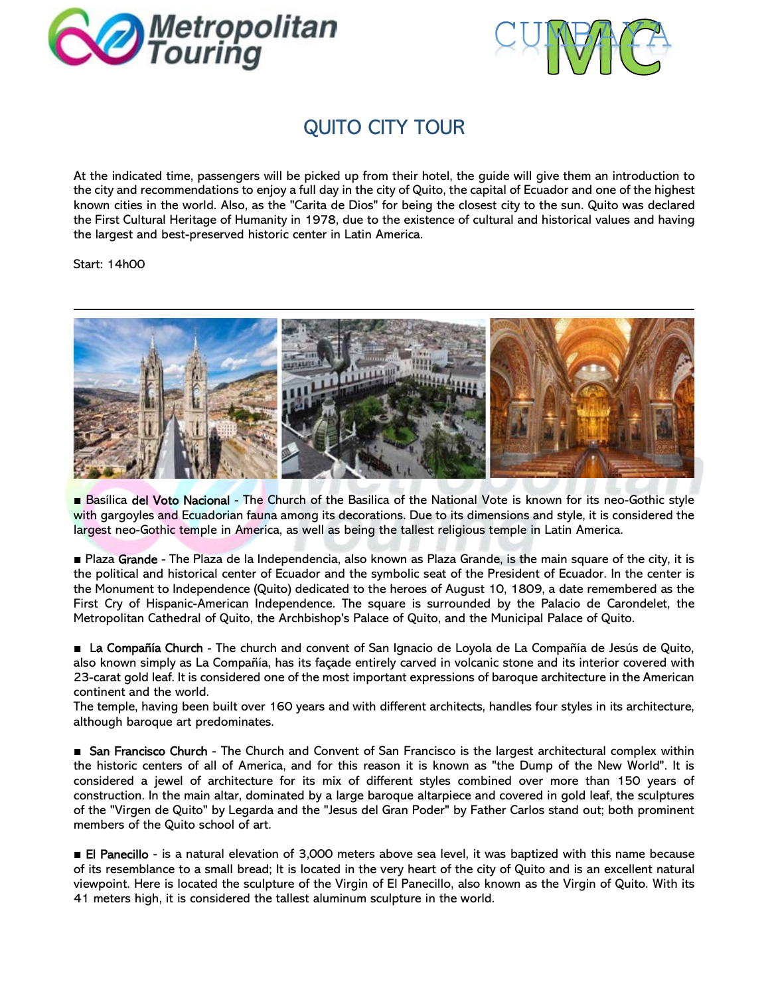



## QUITO CITY TOUR

At the indicated time, passengers will be picked up from their hotel, the guide will give them an introduction to the city and recommendations to enjoy a full day in the city of Quito, the capital of Ecuador and one of the highest known cities in the world. Also, as the "Carita de Dios" for being the closest city to the sun. Quito was declared the First Cultural Heritage of Humanity in 1978, due to the existence of cultural and historical values and having the largest and best-preserved historic center in Latin America.

Start: 14h00



Basílica del Voto Nacional - The Church of the Basilica of the National Vote is known for its neo-Gothic style with gargoyles and Ecuadorian fauna among its decorations. Due to its dimensions and style, it is considered the largest neo-Gothic temple in America, as well as being the tallest religious temple in Latin America.

■ Plaza Grande - The Plaza de la Independencia, also known as Plaza Grande, is the main square of the city, it is the political and historical center of Ecuador and the symbolic seat of the President of Ecuador. In the center is the Monument to Independence (Quito) dedicated to the heroes of August 10, 1809, a date remembered as the First Cry of Hispanic-American Independence. The square is surrounded by the Palacio de Carondelet, the Metropolitan Cathedral of Quito, the Archbishop's Palace of Quito, and the Municipal Palace of Quito.

■ La Compañía Church - The church and convent of San Ignacio de Loyola de La Compañía de Jesús de Quito, also known simply as La Compañía, has its façade entirely carved in volcanic stone and its interior covered with 23-carat gold leaf. It is considered one of the most important expressions of baroque architecture in the American continent and the world.

The temple, having been built over 160 years and with different architects, handles four styles in its architecture, although baroque art predominates.

■ San Francisco Church - The Church and Convent of San Francisco is the largest architectural complex within the historic centers of all of America, and for this reason it is known as "the Dump of the New World". It is considered a jewel of architecture for its mix of different styles combined over more than 150 years of construction. In the main altar, dominated by a large baroque altarpiece and covered in gold leaf, the sculptures of the "Virgen de Quito" by Legarda and the "Jesus del Gran Poder" by Father Carlos stand out; both prominent members of the Quito school of art.

■ El Panecillo - is a natural elevation of 3,000 meters above sea level, it was baptized with this name because of its resemblance to a small bread; It is located in the very heart of the city of Quito and is an excellent natural viewpoint. Here is located the sculpture of the Virgin of El Panecillo, also known as the Virgin of Quito. With its 41 meters high, it is considered the tallest aluminum sculpture in the world.